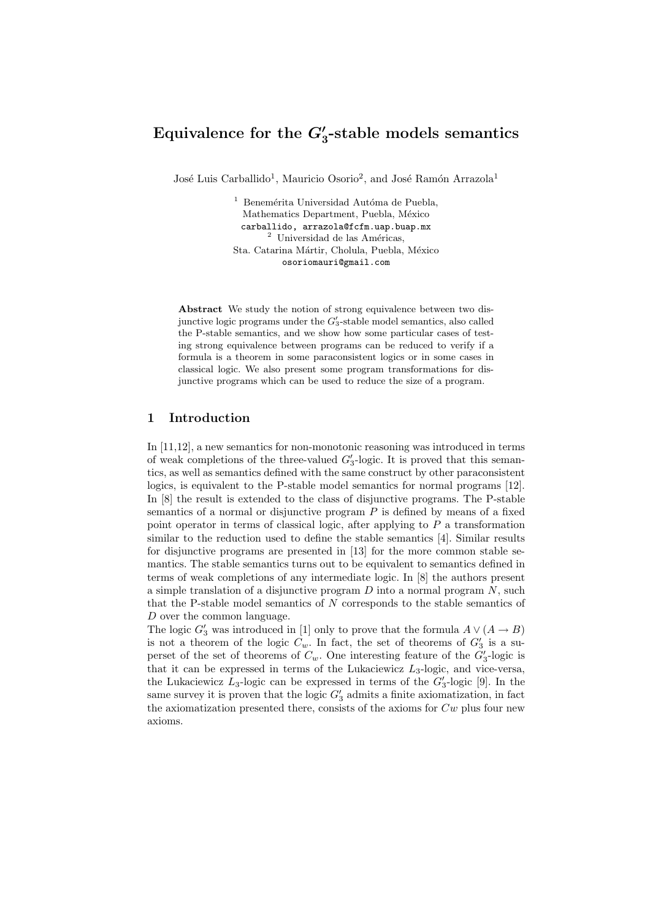# Equivalence for the  $G'_3$ -stable models semantics

José Luis Carballido<sup>1</sup>, Mauricio Osorio<sup>2</sup>, and José Ramón Arrazola<sup>1</sup>

 $^1$  Benemérita Universidad Autóma de Puebla, Mathematics Department, Puebla, México carballido, arrazola@fcfm.uap.buap.mx  $^2$ Universidad de las Américas, Sta. Catarina Mártir, Cholula, Puebla, México osoriomauri@gmail.com

Abstract We study the notion of strong equivalence between two disjunctive logic programs under the  $G'_3$ -stable model semantics, also called the P-stable semantics, and we show how some particular cases of testing strong equivalence between programs can be reduced to verify if a formula is a theorem in some paraconsistent logics or in some cases in classical logic. We also present some program transformations for disjunctive programs which can be used to reduce the size of a program.

# 1 Introduction

In [11,12], a new semantics for non-monotonic reasoning was introduced in terms of weak completions of the three-valued  $G_3'$ -logic. It is proved that this semantics, as well as semantics defined with the same construct by other paraconsistent logics, is equivalent to the P-stable model semantics for normal programs [12]. In [8] the result is extended to the class of disjunctive programs. The P-stable semantics of a normal or disjunctive program  $P$  is defined by means of a fixed point operator in terms of classical logic, after applying to  $P$  a transformation similar to the reduction used to define the stable semantics [4]. Similar results for disjunctive programs are presented in [13] for the more common stable semantics. The stable semantics turns out to be equivalent to semantics defined in terms of weak completions of any intermediate logic. In [8] the authors present a simple translation of a disjunctive program  $D$  into a normal program  $N$ , such that the P-stable model semantics of N corresponds to the stable semantics of D over the common language.

The logic  $G_3'$  was introduced in [1] only to prove that the formula  $A \vee (A \rightarrow B)$ is not a theorem of the logic  $C_w$ . In fact, the set of theorems of  $G'_3$  is a superset of the set of theorems of  $C_w$ . One interesting feature of the  $G'_3$ -logic is that it can be expressed in terms of the Lukaciewicz  $L_3$ -logic, and vice-versa, the Lukaciewicz  $L_3$ -logic can be expressed in terms of the  $G'_3$ -logic [9]. In the same survey it is proven that the logic  $G'_{3}$  admits a finite axiomatization, in fact the axiomatization presented there, consists of the axioms for  $Cw$  plus four new axioms.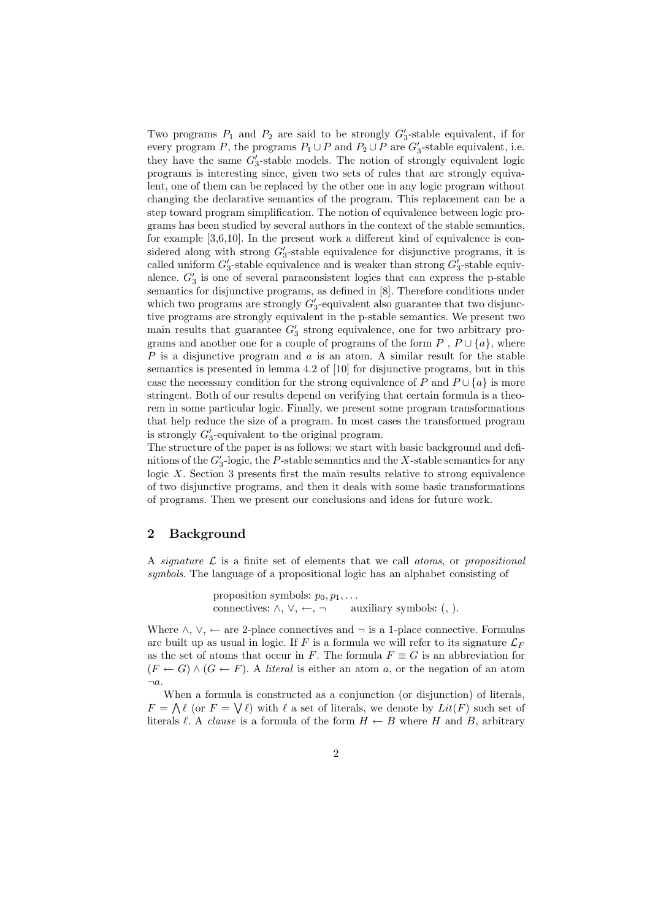Two programs  $P_1$  and  $P_2$  are said to be strongly  $G'_3$ -stable equivalent, if for every program P, the programs  $P_1 \cup P$  and  $P_2 \cup P$  are  $G'_3$ -stable equivalent, i.e. they have the same  $G'_3$ -stable models. The notion of strongly equivalent logic programs is interesting since, given two sets of rules that are strongly equivalent, one of them can be replaced by the other one in any logic program without changing the declarative semantics of the program. This replacement can be a step toward program simplification. The notion of equivalence between logic programs has been studied by several authors in the context of the stable semantics, for example [3,6,10]. In the present work a different kind of equivalence is considered along with strong  $G_3'$ -stable equivalence for disjunctive programs, it is called uniform  $G_3'$ -stable equivalence and is weaker than strong  $G_3'$ -stable equivalence.  $G_3'$  is one of several paraconsistent logics that can express the p-stable semantics for disjunctive programs, as defined in [8]. Therefore conditions under which two programs are strongly  $G_3'$ -equivalent also guarantee that two disjunctive programs are strongly equivalent in the p-stable semantics. We present two main results that guarantee  $G'_{3}$  strong equivalence, one for two arbitrary programs and another one for a couple of programs of the form  $P$ ,  $P \cup \{a\}$ , where P is a disjunctive program and  $a$  is an atom. A similar result for the stable semantics is presented in lemma 4.2 of [10] for disjunctive programs, but in this case the necessary condition for the strong equivalence of P and  $P \cup \{a\}$  is more stringent. Both of our results depend on verifying that certain formula is a theorem in some particular logic. Finally, we present some program transformations that help reduce the size of a program. In most cases the transformed program is strongly  $G'_3$ -equivalent to the original program.

The structure of the paper is as follows: we start with basic background and defimitions of the  $G_3'$ -logic, the P-stable semantics and the X-stable semantics for any logic X. Section 3 presents first the main results relative to strong equivalence of two disjunctive programs, and then it deals with some basic transformations of programs. Then we present our conclusions and ideas for future work.

# 2 Background

A signature  $\mathcal L$  is a finite set of elements that we call atoms, or propositional symbols. The language of a propositional logic has an alphabet consisting of

> proposition symbols:  $p_0, p_1, \ldots$ connectives:  $\land$ ,  $\lor$ ,  $\leftarrow$ ,  $\neg$  auxiliary symbols: (, ).

Where  $\land$ ,  $\lor$ ,  $\leftarrow$  are 2-place connectives and  $\neg$  is a 1-place connective. Formulas are built up as usual in logic. If F is a formula we will refer to its signature  $\mathcal{L}_F$ as the set of atoms that occur in F. The formula  $F \equiv G$  is an abbreviation for  $(F \leftarrow G) \wedge (G \leftarrow F)$ . A literal is either an atom a, or the negation of an atom  $\neg a$ .

When a formula is constructed as a conjunction (or disjunction) of literals,  $F = \bigwedge \ell$  (or  $F = \bigvee \ell$ ) with  $\ell$  a set of literals, we denote by  $Lit(F)$  such set of literals  $\ell$ . A *clause* is a formula of the form  $H \leftarrow B$  where H and B, arbitrary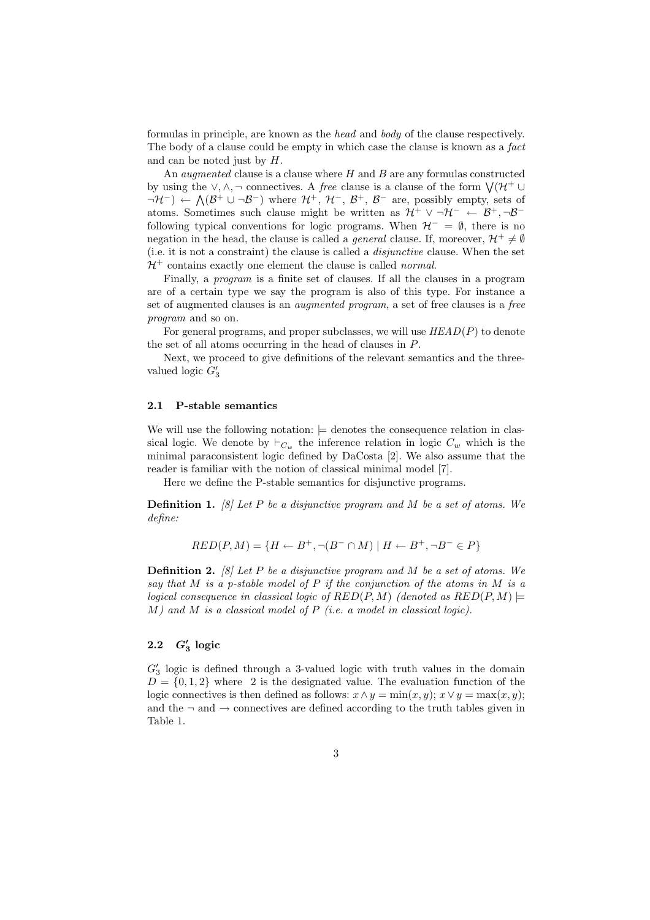formulas in principle, are known as the head and body of the clause respectively. The body of a clause could be empty in which case the clause is known as a fact and can be noted just by H.

An *augmented* clause is a clause where  $H$  and  $B$  are any formulas constructed An *augmented* clause is a clause where *H* and *D* are any formulas constructed<br>by using the  $\vee$ ,  $\wedge$ ,  $\neg$  connectives. A *free* clause is a clause of the form  $\vee (\mathcal{H}^+ \cup$  $\neg \mathcal{H}^-$ ) ←  $\Lambda(\mathcal{B}^+ \cup \neg \mathcal{B}^-)$  where  $\mathcal{H}^+$ ,  $\mathcal{H}^-$ ,  $\mathcal{B}^+$ ,  $\mathcal{B}^-$  are, possibly empty, sets of atoms. Sometimes such clause might be written as  $\mathcal{H}^+ \vee \neg \mathcal{H}^- \leftarrow \mathcal{B}^+$ ,  $\neg \mathcal{B}^$ following typical conventions for logic programs. When  $\mathcal{H}^- = \emptyset$ , there is no negation in the head, the clause is called a *general* clause. If, moreover,  $\mathcal{H}^+ \neq \emptyset$ (i.e. it is not a constraint) the clause is called a disjunctive clause. When the set  $\mathcal{H}^+$  contains exactly one element the clause is called normal.

Finally, a program is a finite set of clauses. If all the clauses in a program are of a certain type we say the program is also of this type. For instance a set of augmented clauses is an augmented program, a set of free clauses is a free program and so on.

For general programs, and proper subclasses, we will use  $HEAD(P)$  to denote the set of all atoms occurring in the head of clauses in P.

Next, we proceed to give definitions of the relevant semantics and the threevalued logic  $G'_3$ 

#### 2.1 P-stable semantics

We will use the following notation:  $\vert$  denotes the consequence relation in classical logic. We denote by  $\vdash_{C_w}$  the inference relation in logic  $C_w$  which is the minimal paraconsistent logic defined by DaCosta [2]. We also assume that the reader is familiar with the notion of classical minimal model [7].

Here we define the P-stable semantics for disjunctive programs.

**Definition 1.** [8] Let P be a disjunctive program and M be a set of atoms. We define:

$$
RED(P, M) = \{ H \leftarrow B^+, \neg(B^- \cap M) \mid H \leftarrow B^+, \neg B^- \in P \}
$$

**Definition 2.** [8] Let P be a disjunctive program and M be a set of atoms. We say that M is a p-stable model of P if the conjunction of the atoms in M is a logical consequence in classical logic of  $RED(P, M)$  (denoted as  $RED(P, M)$ )  $M$ ) and  $M$  is a classical model of  $P$  (i.e. a model in classical logic).

# 2.2  $G_3'$  logic

 $G_3'$  logic is defined through a 3-valued logic with truth values in the domain  $D = \{0, 1, 2\}$  where 2 is the designated value. The evaluation function of the logic connectives is then defined as follows:  $x \wedge y = \min(x, y)$ ;  $x \vee y = \max(x, y)$ ; and the  $\neg$  and  $\neg$  connectives are defined according to the truth tables given in Table 1.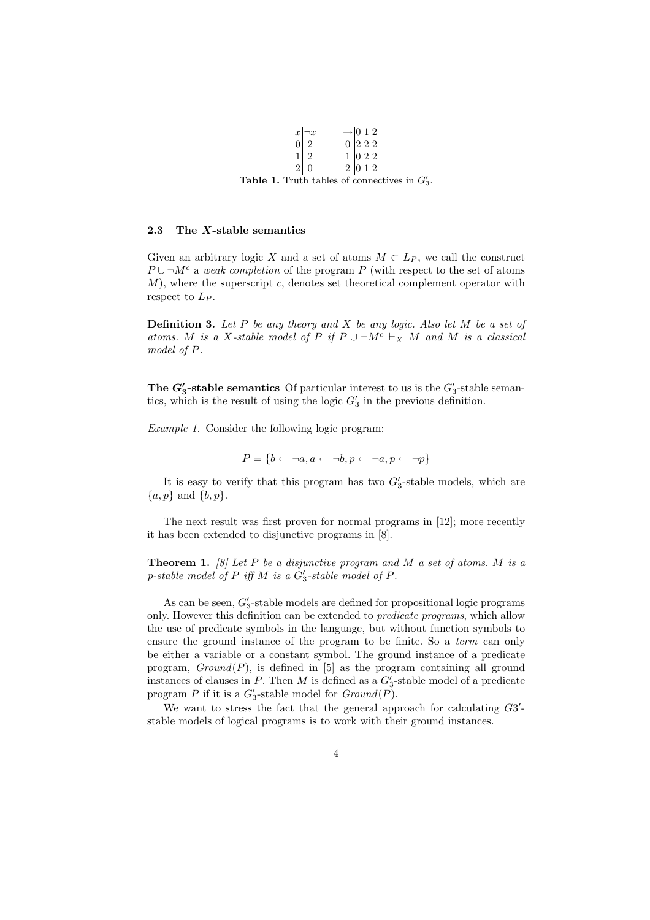|  | $x \rightarrow x$ | $\rightarrow$ 0 1 2                                                              |  |
|--|-------------------|----------------------------------------------------------------------------------|--|
|  | $\overline{0}$ 2  |                                                                                  |  |
|  | $1\vert 2$        |                                                                                  |  |
|  | 2 0               | $\begin{array}{c c} 0 & 2 & 2 & 2 \\ 1 & 0 & 2 & 2 \\ 2 & 0 & 1 & 2 \end{array}$ |  |
|  |                   |                                                                                  |  |

Table 1. Truth tables of connectives in  $G'_3$ .

### 2.3 The X-stable semantics

Given an arbitrary logic X and a set of atoms  $M \subset L_P$ , we call the construct  $P \cup \neg M^c$  a weak completion of the program P (with respect to the set of atoms  $M$ ), where the superscript c, denotes set theoretical complement operator with respect to  $L_P$ .

**Definition 3.** Let P be any theory and X be any logic. Also let M be a set of atoms. M is a X-stable model of P if  $P \cup \neg M^c \vdash_X M$  and M is a classical model of P.

The  $G'_3$ -stable semantics Of particular interest to us is the  $G'_3$ -stable semantics, which is the result of using the logic  $G'_3$  in the previous definition.

Example 1. Consider the following logic program:

$$
P = \{b \leftarrow \neg a, a \leftarrow \neg b, p \leftarrow \neg a, p \leftarrow \neg p\}
$$

It is easy to verify that this program has two  $G_3'$ -stable models, which are  $\{a, p\}$  and  $\{b, p\}.$ 

The next result was first proven for normal programs in [12]; more recently it has been extended to disjunctive programs in [8].

**Theorem 1.** [8] Let P be a disjunctive program and M a set of atoms. M is a p-stable model of  $P$  iff  $M$  is a  $G'_3$ -stable model of  $P$ .

As can be seen,  $G_3'$ -stable models are defined for propositional logic programs only. However this definition can be extended to *predicate programs*, which allow the use of predicate symbols in the language, but without function symbols to ensure the ground instance of the program to be finite. So a *term* can only be either a variable or a constant symbol. The ground instance of a predicate program,  $Ground(P)$ , is defined in [5] as the program containing all ground instances of clauses in P. Then M is defined as a  $G'_3$ -stable model of a predicate program P if it is a  $G'_3$ -stable model for  $Ground(P)$ .

We want to stress the fact that the general approach for calculating  $G3'$ stable models of logical programs is to work with their ground instances.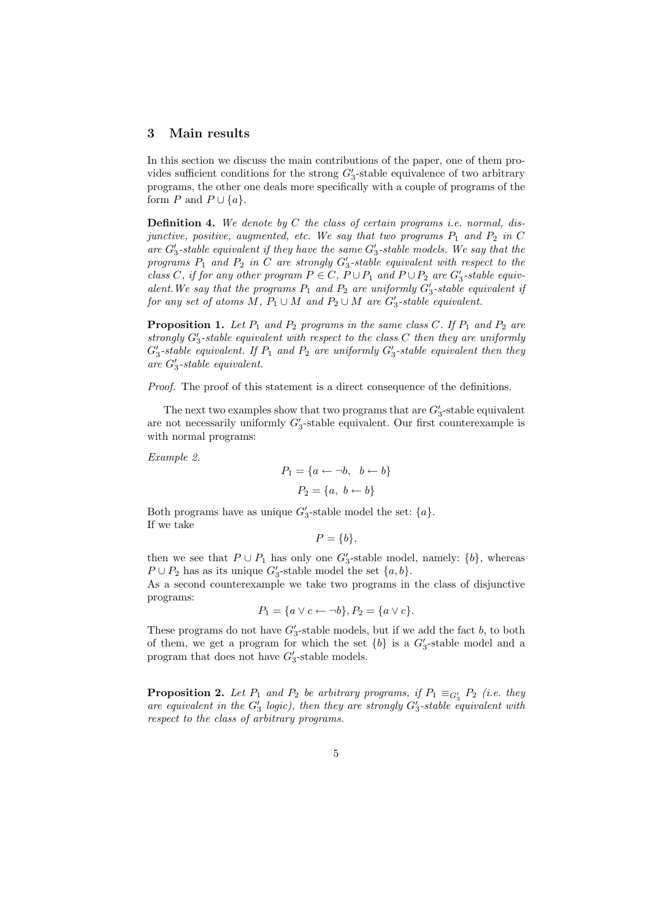### 3 Main results

In this section we discuss the main contributions of the paper, one of them provides sufficient conditions for the strong  $G_3'$ -stable equivalence of two arbitrary programs, the other one deals more specifically with a couple of programs of the form P and  $P \cup \{a\}.$ 

**Definition 4.** We denote by C the class of certain programs *i.e.* normal, disjunctive, positive, augmented, etc. We say that two programs  $P_1$  and  $P_2$  in C are  $G_3'$ -stable equivalent if they have the same  $G_3'$ -stable models. We say that the programs  $P_1$  and  $P_2$  in C are strongly  $G_3'$ -stable equivalent with respect to the class C, if for any other program  $P \in C$ ,  $P \cup P_1$  and  $P \cup P_2$  are  $G'_3$ -stable equivalent. We say that the programs  $P_1$  and  $P_2$  are uniformly  $G'_3$ -stable equivalent if for any set of atoms M,  $P_1 \cup M$  and  $P_2 \cup M$  are  $G'_3$ -stable equivalent.

**Proposition 1.** Let  $P_1$  and  $P_2$  programs in the same class C. If  $P_1$  and  $P_2$  are strongly  $G_3'$ -stable equivalent with respect to the class  $C$  then they are uniformly  $G_3'$ -stable equivalent. If  $P_1$  and  $P_2$  are uniformly  $G_3'$ -stable equivalent then they are  $G_3'$ -stable equivalent.

Proof. The proof of this statement is a direct consequence of the definitions.

The next two examples show that two programs that are  $G'_3$ -stable equivalent are not necessarily uniformly  $G_3'$ -stable equivalent. Our first counterexample is with normal programs:

Example 2.

$$
P_1 = \{a \leftarrow \neg b, \ b \leftarrow b\}
$$

$$
P_2 = \{a, \ b \leftarrow b\}
$$

Both programs have as unique  $G'_3$ -stable model the set:  $\{a\}$ . If we take

 $P = \{b\},\,$ 

then we see that  $P \cup P_1$  has only one  $G_3'$ -stable model, namely:  $\{b\}$ , whereas  $P \cup P_2$  has as its unique  $G'_3$ -stable model the set  $\{a, b\}.$ 

As a second counterexample we take two programs in the class of disjunctive programs:

$$
P_1 = \{a \lor c \leftarrow \neg b\}, P_2 = \{a \lor c\}.
$$

These programs do not have  $G_3'$ -stable models, but if we add the fact b, to both of them, we get a program for which the set  ${b}$  is a  $G'_3$ -stable model and a program that does not have  $G'_3$ -stable models.

**Proposition 2.** Let  $P_1$  and  $P_2$  be arbitrary programs, if  $P_1 \equiv_{G_3'} P_2$  (i.e. they are equivalent in the  $G'_3$  logic), then they are strongly  $G'_3$ -stable equivalent with respect to the class of arbitrary programs.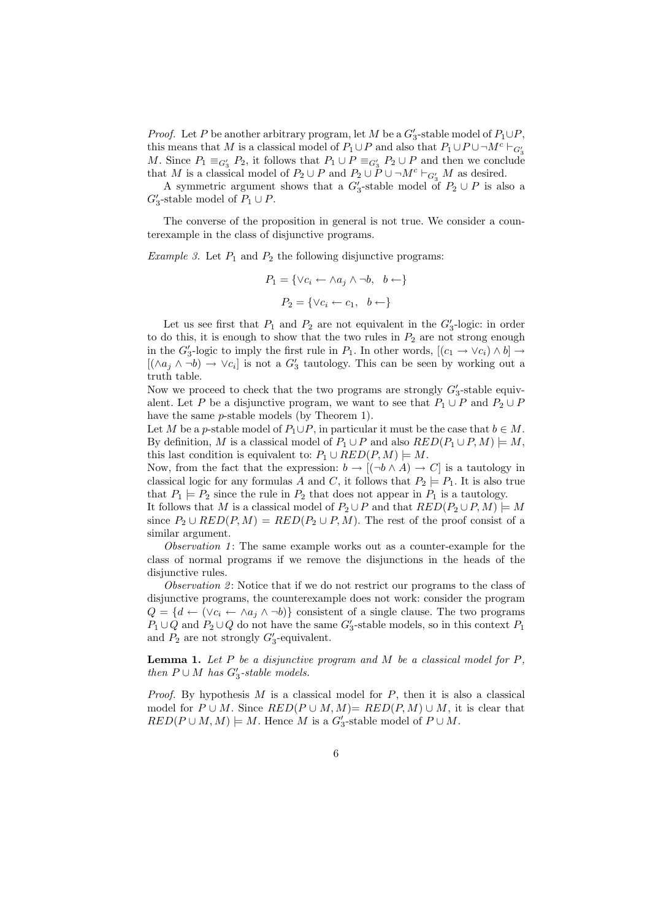*Proof.* Let P be another arbitrary program, let M be a  $G'_3$ -stable model of  $P_1 \cup P$ , this means that M is a classical model of  $P_1 \cup P$  and also that  $P_1 \cup P \cup \neg M^c \vdash_{G'_3}$ M. Since  $P_1 \equiv_{G'_3} P_2$ , it follows that  $P_1 \cup P \equiv_{G'_3} P_2 \cup P$  and then we conclude that M is a classical model of  $P_2 \cup P$  and  $P_2 \cup P \cup \neg M^c \vdash_{G'_3} M$  as desired.

A symmetric argument shows that a  $G_3'$ -stable model of  $P_2 \cup P$  is also a  $G_3'$ -stable model of  $P_1 \cup P$ .

The converse of the proposition in general is not true. We consider a counterexample in the class of disjunctive programs.

*Example 3.* Let  $P_1$  and  $P_2$  the following disjunctive programs:

$$
P_1 = \{ \forall c_i \leftarrow \land a_j \land \neg b, \ b \leftarrow \}
$$

$$
P_2 = \{ \forall c_i \leftarrow c_1, \ b \leftarrow \}
$$

Let us see first that  $P_1$  and  $P_2$  are not equivalent in the  $G'_3$ -logic: in order to do this, it is enough to show that the two rules in  $P_2$  are not strong enough in the  $G'_3$ -logic to imply the first rule in  $P_1$ . In other words,  $[(c_1 \rightarrow \vee c_i) \wedge b] \rightarrow$  $[(\wedge a_j \wedge \neg b) \rightarrow \vee c_i]$  is not a  $G'_3$  tautology. This can be seen by working out a truth table.

Now we proceed to check that the two programs are strongly  $G_3'$ -stable equivalent. Let P be a disjunctive program, we want to see that  $P_1 \cup P$  and  $P_2 \cup P$ have the same *p*-stable models (by Theorem 1).

Let M be a p-stable model of  $P_1 \cup P$ , in particular it must be the case that  $b \in M$ . By definition, M is a classical model of  $P_1 \cup P$  and also  $RED(P_1 \cup P, M) \models M$ , this last condition is equivalent to:  $P_1 \cup RED(P, M) \models M$ .

Now, from the fact that the expression:  $b \to [(\neg b \land A) \to C]$  is a tautology in classical logic for any formulas A and C, it follows that  $P_2 \models P_1$ . It is also true that  $P_1 \models P_2$  since the rule in  $P_2$  that does not appear in  $P_1$  is a tautology.

It follows that M is a classical model of  $P_2 \cup P$  and that  $RED(P_2 \cup P, M) \models M$ since  $P_2 \cup RED(P, M) = RED(P_2 \cup P, M)$ . The rest of the proof consist of a similar argument.

Observation 1: The same example works out as a counter-example for the class of normal programs if we remove the disjunctions in the heads of the disjunctive rules.

Observation 2: Notice that if we do not restrict our programs to the class of disjunctive programs, the counterexample does not work: consider the program  $Q = \{d \leftarrow (\vee c_i \leftarrow \wedge a_j \wedge \neg b)\}\)$  consistent of a single clause. The two programs  $P_1\cup Q$  and  $P_2\cup Q$  do not have the same  $G'_3$ -stable models, so in this context  $P_1$ and  $P_2$  are not strongly  $G'_3$ -equivalent.

**Lemma 1.** Let  $P$  be a disjunctive program and  $M$  be a classical model for  $P$ , then  $P \cup M$  has  $G'_3$ -stable models.

*Proof.* By hypothesis  $M$  is a classical model for  $P$ , then it is also a classical model for  $P \cup M$ . Since  $RED(P \cup M, M) = RED(P, M) \cup M$ , it is clear that  $RED(P \cup M, M) \models M$ . Hence M is a  $G'_3$ -stable model of  $P \cup M$ .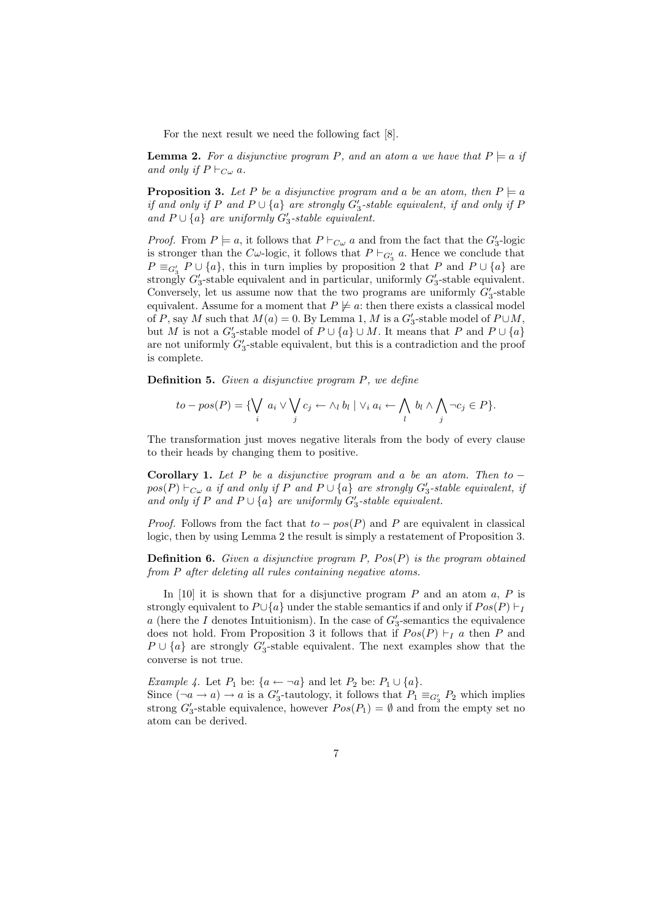For the next result we need the following fact [8].

**Lemma 2.** For a disjunctive program P, and an atom a we have that  $P \models a$  if and only if  $P \vdash_{C\omega} a$ .

**Proposition 3.** Let P be a disjunctive program and a be an atom, then  $P \models a$ if and only if P and  $P \cup \{a\}$  are strongly  $G_3'$ -stable equivalent, if and only if P and  $P \cup \{a\}$  are uniformly  $G'_3$ -stable equivalent.

*Proof.* From  $P \models a$ , it follows that  $P \vdash_{C \omega} a$  and from the fact that the  $G_3'$ -logic is stronger than the C $\omega$ -logic, it follows that  $P \vdash_{G'_3} a$ . Hence we conclude that  $P \equiv_{G_3'} P \cup \{a\}$ , this in turn implies by proposition 2 that P and  $P \cup \{a\}$  are strongly  $G_3'$ -stable equivalent and in particular, uniformly  $G_3'$ -stable equivalent. Conversely, let us assume now that the two programs are uniformly  $G'_3$ -stable equivalent. Assume for a moment that  $P \not\models a$ : then there exists a classical model of P, say M such that  $M(a) = 0$ . By Lemma 1, M is a  $G'_3$ -stable model of  $P \cup M$ , but M is not a  $G_3'$ -stable model of  $P \cup \{a\} \cup M$ . It means that P and  $P \cup \{a\}$ are not uniformly  $G'_3$ -stable equivalent, but this is a contradiction and the proof is complete.

Definition 5. Given a disjunctive program P, we define

$$
to - pos(P) = \{ \bigvee_i a_i \vee \bigvee_j c_j \leftarrow \wedge_l b_l \mid \vee_i a_i \leftarrow \bigwedge_l b_l \wedge \bigwedge_j \neg c_j \in P \}.
$$

The transformation just moves negative literals from the body of every clause to their heads by changing them to positive.

Corollary 1. Let P be a disjunctive program and a be an atom. Then to  $$  $pos(P) \vdash_{C\omega} a$  if and only if P and  $P \cup \{a\}$  are strongly  $G_3'$ -stable equivalent, if and only if P and  $P \cup \{a\}$  are uniformly  $G'_3$ -stable equivalent.

*Proof.* Follows from the fact that  $to -pos(P)$  and P are equivalent in classical logic, then by using Lemma 2 the result is simply a restatement of Proposition 3.

**Definition 6.** Given a disjunctive program P,  $Pos(P)$  is the program obtained from P after deleting all rules containing negative atoms.

In [10] it is shown that for a disjunctive program  $P$  and an atom  $a, P$  is strongly equivalent to  $P \cup \{a\}$  under the stable semantics if and only if  $Pos(P) \vdash_I$ a (here the I denotes Intuitionism). In the case of  $G'_{3}$ -semantics the equivalence does not hold. From Proposition 3 it follows that if  $Pos(P) \vdash_I a$  then P and  $P \cup \{a\}$  are strongly  $G_3'$ -stable equivalent. The next examples show that the converse is not true.

*Example 4.* Let  $P_1$  be:  $\{a \leftarrow \neg a\}$  and let  $P_2$  be:  $P_1 \cup \{a\}$ . Since  $(\neg a \rightarrow a) \rightarrow a$  is a  $G_3'$ -tautology, it follows that  $P_1 \equiv_{G_3'} P_2$  which implies strong  $G'_3$ -stable equivalence, however  $Pos(P_1) = \emptyset$  and from the empty set no atom can be derived.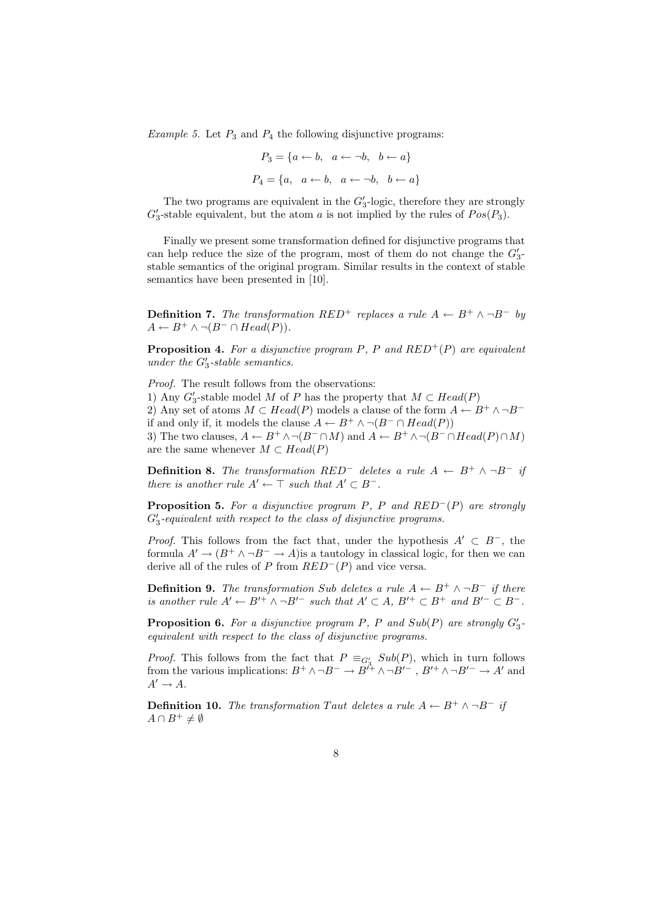*Example 5.* Let  $P_3$  and  $P_4$  the following disjunctive programs:

$$
P_3 = \{a \leftarrow b, \ a \leftarrow \neg b, \ b \leftarrow a\}
$$

$$
P_4 = \{a, \ a \leftarrow b, \ a \leftarrow \neg b, \ b \leftarrow a\}
$$

The two programs are equivalent in the  $G'_3$ -logic, therefore they are strongly  $G_3'$ -stable equivalent, but the atom a is not implied by the rules of  $Pos(P_3)$ .

Finally we present some transformation defined for disjunctive programs that can help reduce the size of the program, most of them do not change the  $G_3'$ stable semantics of the original program. Similar results in the context of stable semantics have been presented in [10].

**Definition 7.** The transformation RED<sup>+</sup> replaces a rule  $A \leftarrow B^+ \land \neg B^-$  by  $A \leftarrow B^+ \wedge \neg (B^- \cap Head(P)).$ 

**Proposition 4.** For a disjunctive program P, P and  $RED^{+}(P)$  are equivalent under the  $G'_3$ -stable semantics.

Proof. The result follows from the observations:

1) Any  $G_3'$ -stable model M of P has the property that  $M \subset Head(P)$ 

2) Any set of atoms  $M \subset Head(P)$  models a clause of the form  $A \leftarrow B^+ \wedge \neg B^$ if and only if, it models the clause  $A \leftarrow B^+ \wedge \neg(B^- \cap Head(P))$ 

3) The two clauses,  $A \leftarrow B^+ \land \neg(B^- \cap M)$  and  $A \leftarrow B^+ \land \neg(B^- \cap Head(P) \cap M)$ are the same whenever  $M \subset Head(P)$ 

**Definition 8.** The transformation RED<sup>-</sup> deletes a rule  $A \leftarrow B^+ \wedge \neg B^-$  if there is another rule  $A' \leftarrow \top$  such that  $A' \subset B^-$ .

**Proposition 5.** For a disjunctive program P, P and  $RED^{-}(P)$  are strongly  $G_3'$ -equivalent with respect to the class of disjunctive programs.

*Proof.* This follows from the fact that, under the hypothesis  $A' \subset B^-$ , the formula  $A' \rightarrow (B^+ \wedge \neg B^- \rightarrow A)$  is a tautology in classical logic, for then we can derive all of the rules of P from  $RED^{-}(P)$  and vice versa.

**Definition 9.** The transformation Sub deletes a rule  $A \leftarrow B^+ \land \neg B^-$  if there is another rule  $A' \leftarrow B'^+ \wedge \neg B'^-$  such that  $A' \subset A$ ,  $B'^+ \subset B^+$  and  $B'^- \subset B^-$ .

**Proposition 6.** For a disjunctive program P, P and  $Sub(P)$  are strongly  $G_3'$ equivalent with respect to the class of disjunctive programs.

*Proof.* This follows from the fact that  $P \equiv_{G_3'} Sub(P)$ , which in turn follows from the various implications:  $B^+ \wedge \neg B^- \to B^{\gamma+} \wedge \neg B'^-$ ,  $B'^+ \wedge \neg B'^- \to A'$  and  $A' \rightarrow A$ .

**Definition 10.** The transformation Taut deletes a rule  $A \leftarrow B^+ \land \neg B^-$  if  $A \cap B^+ \neq \emptyset$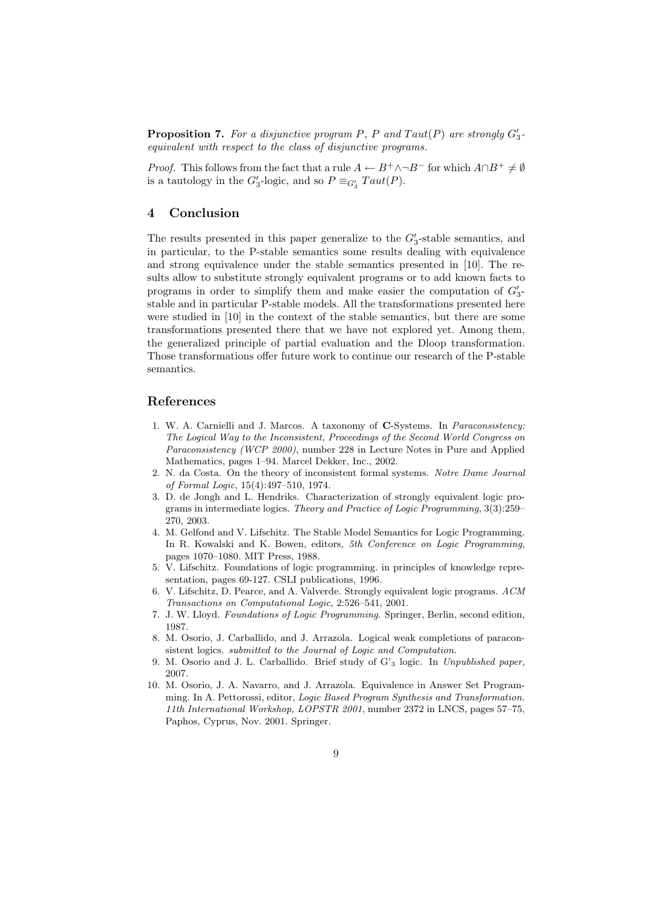**Proposition 7.** For a disjunctive program P, P and  $Taut(P)$  are strongly  $G_3'$ equivalent with respect to the class of disjunctive programs.

*Proof.* This follows from the fact that a rule  $A \leftarrow B^+ \land \neg B^-$  for which  $A \cap B^+ \neq \emptyset$ is a tautology in the  $G'_3$ -logic, and so  $P \equiv_{G'_3} Taut(P)$ .

# 4 Conclusion

The results presented in this paper generalize to the  $G_3'$ -stable semantics, and in particular, to the P-stable semantics some results dealing with equivalence and strong equivalence under the stable semantics presented in [10]. The results allow to substitute strongly equivalent programs or to add known facts to programs in order to simplify them and make easier the computation of  $G'_{3}$ stable and in particular P-stable models. All the transformations presented here were studied in [10] in the context of the stable semantics, but there are some transformations presented there that we have not explored yet. Among them, the generalized principle of partial evaluation and the Dloop transformation. Those transformations offer future work to continue our research of the P-stable semantics.

## References

- 1. W. A. Carnielli and J. Marcos. A taxonomy of C-Systems. In Paraconsistency: The Logical Way to the Inconsistent, Proceedings of the Second World Congress on Paraconsistency (WCP 2000), number 228 in Lecture Notes in Pure and Applied Mathematics, pages 1–94. Marcel Dekker, Inc., 2002.
- 2. N. da Costa. On the theory of inconsistent formal systems. Notre Dame Journal of Formal Logic, 15(4):497–510, 1974.
- 3. D. de Jongh and L. Hendriks. Characterization of strongly equivalent logic programs in intermediate logics. Theory and Practice of Logic Programming, 3(3):259– 270, 2003.
- 4. M. Gelfond and V. Lifschitz. The Stable Model Semantics for Logic Programming. In R. Kowalski and K. Bowen, editors, 5th Conference on Logic Programming, pages 1070–1080. MIT Press, 1988.
- 5. V. Lifschitz. Foundations of logic programming. in principles of knowledge representation, pages 69-127. CSLI publications, 1996.
- 6. V. Lifschitz, D. Pearce, and A. Valverde. Strongly equivalent logic programs. ACM Transactions on Computational Logic, 2:526–541, 2001.
- 7. J. W. Lloyd. Foundations of Logic Programming. Springer, Berlin, second edition, 1987.
- 8. M. Osorio, J. Carballido, and J. Arrazola. Logical weak completions of paraconsistent logics. submitted to the Journal of Logic and Computation.
- 9. M. Osorio and J. L. Carballido. Brief study of G'<sup>3</sup> logic. In Unpublished paper, 2007.
- 10. M. Osorio, J. A. Navarro, and J. Arrazola. Equivalence in Answer Set Programming. In A. Pettorossi, editor, Logic Based Program Synthesis and Transformation. 11th International Workshop, LOPSTR 2001, number 2372 in LNCS, pages 57–75, Paphos, Cyprus, Nov. 2001. Springer.